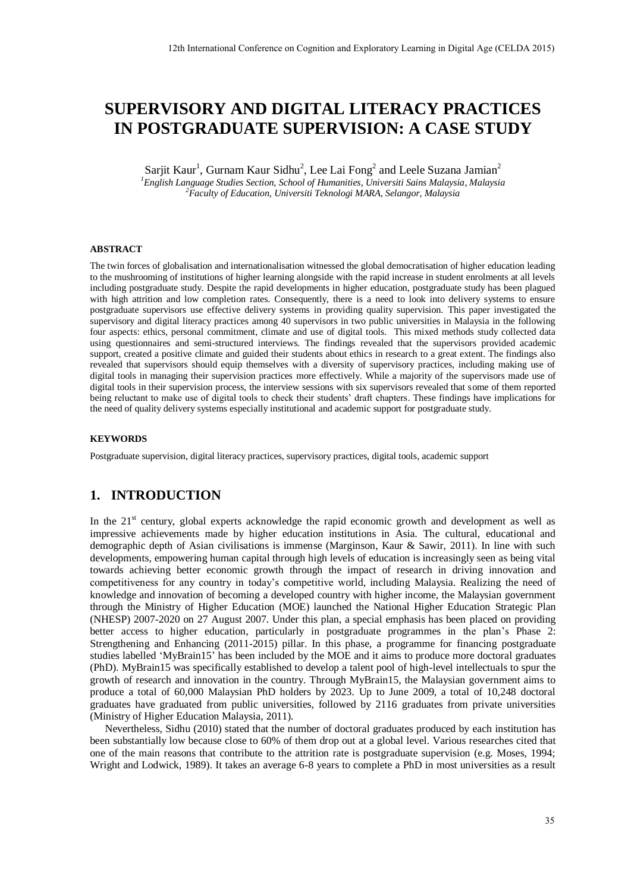# **SUPERVISORY AND DIGITAL LITERACY PRACTICES IN POSTGRADUATE SUPERVISION: A CASE STUDY**

Sarjit Kaur<sup>1</sup>, Gurnam Kaur Sidhu<sup>2</sup>, Lee Lai Fong<sup>2</sup> and Leele Suzana Jamian<sup>2</sup> *<sup>1</sup>English Language Studies Section, School of Humanities, Universiti Sains Malaysia, Malaysia <sup>2</sup>Faculty of Education, Universiti Teknologi MARA, Selangor, Malaysia* 

#### **ABSTRACT**

The twin forces of globalisation and internationalisation witnessed the global democratisation of higher education leading to the mushrooming of institutions of higher learning alongside with the rapid increase in student enrolments at all levels including postgraduate study. Despite the rapid developments in higher education, postgraduate study has been plagued with high attrition and low completion rates. Consequently, there is a need to look into delivery systems to ensure postgraduate supervisors use effective delivery systems in providing quality supervision. This paper investigated the supervisory and digital literacy practices among 40 supervisors in two public universities in Malaysia in the following four aspects: ethics, personal commitment, climate and use of digital tools. This mixed methods study collected data using questionnaires and semi-structured interviews. The findings revealed that the supervisors provided academic support, created a positive climate and guided their students about ethics in research to a great extent. The findings also revealed that supervisors should equip themselves with a diversity of supervisory practices, including making use of digital tools in managing their supervision practices more effectively. While a majority of the supervisors made use of digital tools in their supervision process, the interview sessions with six supervisors revealed that some of them reported being reluctant to make use of digital tools to check their students' draft chapters. These findings have implications for the need of quality delivery systems especially institutional and academic support for postgraduate study.

#### **KEYWORDS**

Postgraduate supervision, digital literacy practices, supervisory practices, digital tools, academic support

# **1. INTRODUCTION**

In the  $21<sup>st</sup>$  century, global experts acknowledge the rapid economic growth and development as well as impressive achievements made by higher education institutions in Asia. The cultural, educational and demographic depth of Asian civilisations is immense (Marginson, Kaur & Sawir, 2011). In line with such developments, empowering human capital through high levels of education is increasingly seen as being vital towards achieving better economic growth through the impact of research in driving innovation and competitiveness for any country in today's competitive world, including Malaysia. Realizing the need of knowledge and innovation of becoming a developed country with higher income, the Malaysian government through the Ministry of Higher Education (MOE) launched the National Higher Education Strategic Plan (NHESP) 2007-2020 on 27 August 2007. Under this plan, a special emphasis has been placed on providing better access to higher education, particularly in postgraduate programmes in the plan's Phase 2: Strengthening and Enhancing (2011-2015) pillar. In this phase, a programme for financing postgraduate studies labelled 'MyBrain15' has been included by the MOE and it aims to produce more doctoral graduates (PhD). MyBrain15 was specifically established to develop a talent pool of high-level intellectuals to spur the growth of research and innovation in the country. Through MyBrain15, the Malaysian government aims to produce a total of 60,000 Malaysian PhD holders by 2023. Up to June 2009, a total of 10,248 doctoral graduates have graduated from public universities, followed by 2116 graduates from private universities (Ministry of Higher Education Malaysia, 2011).

Nevertheless, Sidhu (2010) stated that the number of doctoral graduates produced by each institution has been substantially low because close to 60% of them drop out at a global level. Various researches cited that one of the main reasons that contribute to the attrition rate is postgraduate supervision (e.g. Moses, 1994; Wright and Lodwick, 1989). It takes an average 6-8 years to complete a PhD in most universities as a result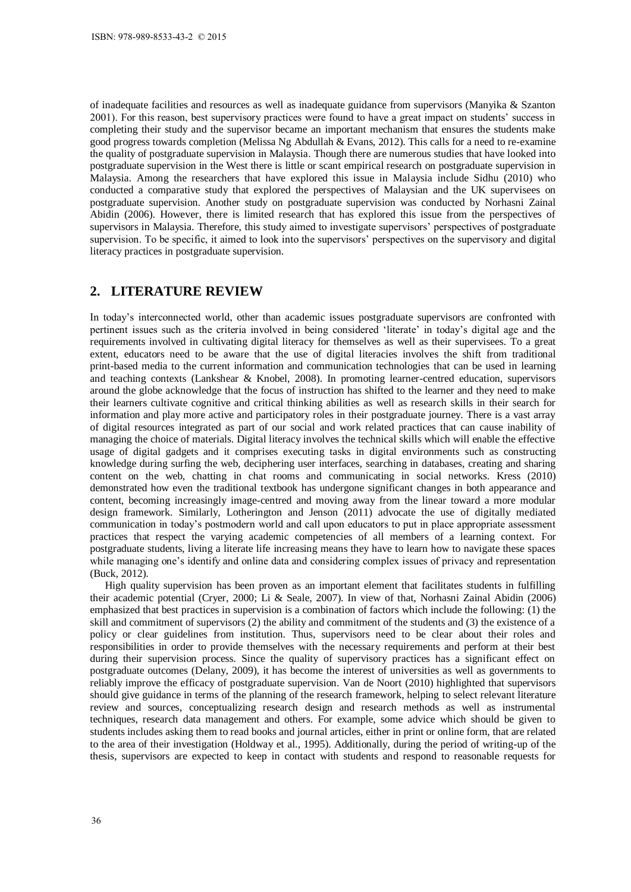of inadequate facilities and resources as well as inadequate guidance from supervisors (Manyika & Szanton 2001). For this reason, best supervisory practices were found to have a great impact on students' success in completing their study and the supervisor became an important mechanism that ensures the students make good progress towards completion (Melissa Ng Abdullah & Evans, 2012). This calls for a need to re-examine the quality of postgraduate supervision in Malaysia. Though there are numerous studies that have looked into postgraduate supervision in the West there is little or scant empirical research on postgraduate supervision in Malaysia. Among the researchers that have explored this issue in Malaysia include Sidhu (2010) who conducted a comparative study that explored the perspectives of Malaysian and the UK supervisees on postgraduate supervision. Another study on postgraduate supervision was conducted by Norhasni Zainal Abidin (2006). However, there is limited research that has explored this issue from the perspectives of supervisors in Malaysia. Therefore, this study aimed to investigate supervisors' perspectives of postgraduate supervision. To be specific, it aimed to look into the supervisors' perspectives on the supervisory and digital literacy practices in postgraduate supervision.

# **2. LITERATURE REVIEW**

In today's interconnected world, other than academic issues postgraduate supervisors are confronted with pertinent issues such as the criteria involved in being considered 'literate' in today's digital age and the requirements involved in cultivating digital literacy for themselves as well as their supervisees. To a great extent, educators need to be aware that the use of digital literacies involves the shift from traditional print-based media to the current information and communication technologies that can be used in learning and teaching contexts (Lankshear & Knobel, 2008). In promoting learner-centred education, supervisors around the globe acknowledge that the focus of instruction has shifted to the learner and they need to make their learners cultivate cognitive and critical thinking abilities as well as research skills in their search for information and play more active and participatory roles in their postgraduate journey. There is a vast array of digital resources integrated as part of our social and work related practices that can cause inability of managing the choice of materials. Digital literacy involves the technical skills which will enable the effective usage of digital gadgets and it comprises executing tasks in digital environments such as constructing knowledge during surfing the web, deciphering user interfaces, searching in databases, creating and sharing content on the web, chatting in chat rooms and communicating in social networks. Kress (2010) demonstrated how even the traditional textbook has undergone significant changes in both appearance and content, becoming increasingly image-centred and moving away from the linear toward a more modular design framework. Similarly, Lotherington and Jenson (2011) advocate the use of digitally mediated communication in today's postmodern world and call upon educators to put in place appropriate assessment practices that respect the varying academic competencies of all members of a learning context. For postgraduate students, living a literate life increasing means they have to learn how to navigate these spaces while managing one's identify and online data and considering complex issues of privacy and representation (Buck, 2012). ISBN: 978-989-8533-43-2 © 2015<br>
SISBN: 978-989-8533-43-2 © 2015<br>
of inadequate facilities and reso<br>
color)). For this reason, best supeompleting their study and the duely<br>
completing their study and the equality of postgra

High quality supervision has been proven as an important element that facilitates students in fulfilling their academic potential (Cryer, 2000; Li & Seale, 2007). In view of that, Norhasni Zainal Abidin (2006) emphasized that best practices in supervision is a combination of factors which include the following: (1) the skill and commitment of supervisors (2) the ability and commitment of the students and (3) the existence of a policy or clear guidelines from institution. Thus, supervisors need to be clear about their roles and responsibilities in order to provide themselves with the necessary requirements and perform at their best during their supervision process. Since the quality of supervisory practices has a significant effect on postgraduate outcomes (Delany, 2009), it has become the interest of universities as well as governments to reliably improve the efficacy of postgraduate supervision. Van de Noort (2010) highlighted that supervisors should give guidance in terms of the planning of the research framework, helping to select relevant literature review and sources, conceptualizing research design and research methods as well as instrumental techniques, research data management and others. For example, some advice which should be given to students includes asking them to read books and journal articles, either in print or online form, that are related to the area of their investigation (Holdway et al., 1995). Additionally, during the period of writing-up of the thesis, supervisors are expected to keep in contact with students and respond to reasonable requests for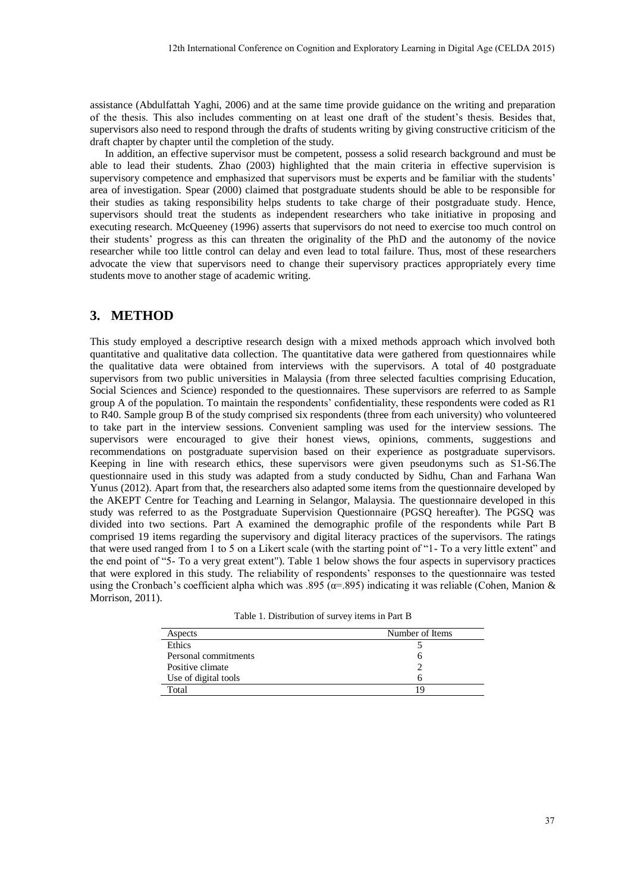assistance (Abdulfattah Yaghi, 2006) and at the same time provide guidance on the writing and preparation of the thesis. This also includes commenting on at least one draft of the student's thesis. Besides that, supervisors also need to respond through the drafts of students writing by giving constructive criticism of the draft chapter by chapter until the completion of the study.

In addition, an effective supervisor must be competent, possess a solid research background and must be able to lead their students. Zhao (2003) highlighted that the main criteria in effective supervision is supervisory competence and emphasized that supervisors must be experts and be familiar with the students' area of investigation. Spear (2000) claimed that postgraduate students should be able to be responsible for their studies as taking responsibility helps students to take charge of their postgraduate study. Hence, supervisors should treat the students as independent researchers who take initiative in proposing and executing research. McQueeney (1996) asserts that supervisors do not need to exercise too much control on their students' progress as this can threaten the originality of the PhD and the autonomy of the novice researcher while too little control can delay and even lead to total failure. Thus, most of these researchers advocate the view that supervisors need to change their supervisory practices appropriately every time students move to another stage of academic writing.

# **3. METHOD**

This study employed a descriptive research design with a mixed methods approach which involved both quantitative and qualitative data collection. The quantitative data were gathered from questionnaires while the qualitative data were obtained from interviews with the supervisors. A total of 40 postgraduate supervisors from two public universities in Malaysia (from three selected faculties comprising Education, Social Sciences and Science) responded to the questionnaires. These supervisors are referred to as Sample group A of the population. To maintain the respondents' confidentiality, these respondents were coded as R1 to R40. Sample group B of the study comprised six respondents (three from each university) who volunteered to take part in the interview sessions. Convenient sampling was used for the interview sessions. The supervisors were encouraged to give their honest views, opinions, comments, suggestions and recommendations on postgraduate supervision based on their experience as postgraduate supervisors. Keeping in line with research ethics, these supervisors were given pseudonyms such as S1-S6.The questionnaire used in this study was adapted from a study conducted by Sidhu, Chan and Farhana Wan Yunus (2012). Apart from that, the researchers also adapted some items from the questionnaire developed by the AKEPT Centre for Teaching and Learning in Selangor, Malaysia. The questionnaire developed in this study was referred to as the Postgraduate Supervision Questionnaire (PGSQ hereafter). The PGSQ was divided into two sections. Part A examined the demographic profile of the respondents while Part B comprised 19 items regarding the supervisory and digital literacy practices of the supervisors. The ratings that were used ranged from 1 to 5 on a Likert scale (with the starting point of "1- To a very little extent" and the end point of "5- To a very great extent"). Table 1 below shows the four aspects in supervisory practices that were explored in this study. The reliability of respondents' responses to the questionnaire was tested using the Cronbach's coefficient alpha which was .895 ( $\alpha$ =.895) indicating it was reliable (Cohen, Manion & Morrison, 2011).

| Table 1. Distribution of survey items in Part B |  |  |  |  |
|-------------------------------------------------|--|--|--|--|
|-------------------------------------------------|--|--|--|--|

| Aspects              | Number of Items |
|----------------------|-----------------|
| Ethics               |                 |
| Personal commitments | n               |
| Positive climate     |                 |
| Use of digital tools | n               |
| Total                | 1 Q             |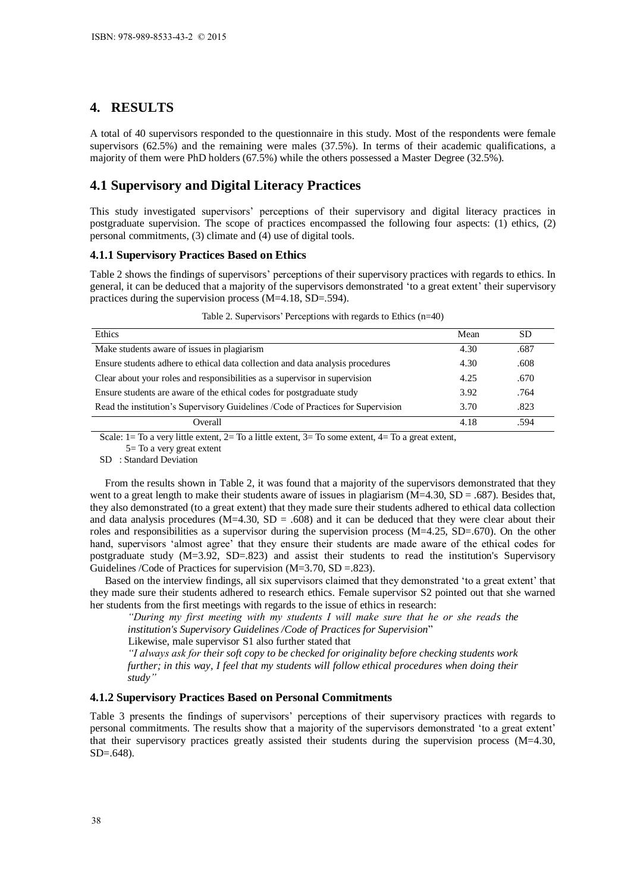# **4. RESULTS**

## **4.1 Supervisory and Digital Literacy Practices**

## **4.1.1 Supervisory Practices Based on Ethics**

| ISBN: 978-989-8533-43-2 © 2015                                                                                                                                                                                                                                                                                                                                                                                                                                                                                                                                                                                                                                                                                                                                                                                                                                                                                                                                                                                                                                                                                                                                                                                                                                                                                                                                                                                                                                                                                                                                                                                                                                                                                                                                                                                                                                                                                                                                                                                                                                                                |              |              |
|-----------------------------------------------------------------------------------------------------------------------------------------------------------------------------------------------------------------------------------------------------------------------------------------------------------------------------------------------------------------------------------------------------------------------------------------------------------------------------------------------------------------------------------------------------------------------------------------------------------------------------------------------------------------------------------------------------------------------------------------------------------------------------------------------------------------------------------------------------------------------------------------------------------------------------------------------------------------------------------------------------------------------------------------------------------------------------------------------------------------------------------------------------------------------------------------------------------------------------------------------------------------------------------------------------------------------------------------------------------------------------------------------------------------------------------------------------------------------------------------------------------------------------------------------------------------------------------------------------------------------------------------------------------------------------------------------------------------------------------------------------------------------------------------------------------------------------------------------------------------------------------------------------------------------------------------------------------------------------------------------------------------------------------------------------------------------------------------------|--------------|--------------|
|                                                                                                                                                                                                                                                                                                                                                                                                                                                                                                                                                                                                                                                                                                                                                                                                                                                                                                                                                                                                                                                                                                                                                                                                                                                                                                                                                                                                                                                                                                                                                                                                                                                                                                                                                                                                                                                                                                                                                                                                                                                                                               |              |              |
| 4. RESULTS                                                                                                                                                                                                                                                                                                                                                                                                                                                                                                                                                                                                                                                                                                                                                                                                                                                                                                                                                                                                                                                                                                                                                                                                                                                                                                                                                                                                                                                                                                                                                                                                                                                                                                                                                                                                                                                                                                                                                                                                                                                                                    |              |              |
| A total of 40 supervisors responded to the questionnaire in this study. Most of the respondents were female<br>supervisors (62.5%) and the remaining were males (37.5%). In terms of their academic qualifications, a<br>majority of them were PhD holders (67.5%) while the others possessed a Master Degree (32.5%).                                                                                                                                                                                                                                                                                                                                                                                                                                                                                                                                                                                                                                                                                                                                                                                                                                                                                                                                                                                                                                                                                                                                                                                                                                                                                                                                                                                                                                                                                                                                                                                                                                                                                                                                                                        |              |              |
| 4.1 Supervisory and Digital Literacy Practices                                                                                                                                                                                                                                                                                                                                                                                                                                                                                                                                                                                                                                                                                                                                                                                                                                                                                                                                                                                                                                                                                                                                                                                                                                                                                                                                                                                                                                                                                                                                                                                                                                                                                                                                                                                                                                                                                                                                                                                                                                                |              |              |
| This study investigated supervisors' perceptions of their supervisory and digital literacy practices in<br>postgraduate supervision. The scope of practices encompassed the following four aspects: (1) ethics, (2)<br>personal commitments, (3) climate and (4) use of digital tools.                                                                                                                                                                                                                                                                                                                                                                                                                                                                                                                                                                                                                                                                                                                                                                                                                                                                                                                                                                                                                                                                                                                                                                                                                                                                                                                                                                                                                                                                                                                                                                                                                                                                                                                                                                                                        |              |              |
| <b>4.1.1 Supervisory Practices Based on Ethics</b>                                                                                                                                                                                                                                                                                                                                                                                                                                                                                                                                                                                                                                                                                                                                                                                                                                                                                                                                                                                                                                                                                                                                                                                                                                                                                                                                                                                                                                                                                                                                                                                                                                                                                                                                                                                                                                                                                                                                                                                                                                            |              |              |
| Table 2 shows the findings of supervisors' perceptions of their supervisory practices with regards to ethics. In<br>general, it can be deduced that a majority of the supervisors demonstrated 'to a great extent' their supervisory<br>practices during the supervision process $(M=4.18, SD=.594)$ .                                                                                                                                                                                                                                                                                                                                                                                                                                                                                                                                                                                                                                                                                                                                                                                                                                                                                                                                                                                                                                                                                                                                                                                                                                                                                                                                                                                                                                                                                                                                                                                                                                                                                                                                                                                        |              |              |
| Table 2. Supervisors' Perceptions with regards to Ethics $(n=40)$                                                                                                                                                                                                                                                                                                                                                                                                                                                                                                                                                                                                                                                                                                                                                                                                                                                                                                                                                                                                                                                                                                                                                                                                                                                                                                                                                                                                                                                                                                                                                                                                                                                                                                                                                                                                                                                                                                                                                                                                                             |              |              |
| Ethics<br>Make students aware of issues in plagiarism                                                                                                                                                                                                                                                                                                                                                                                                                                                                                                                                                                                                                                                                                                                                                                                                                                                                                                                                                                                                                                                                                                                                                                                                                                                                                                                                                                                                                                                                                                                                                                                                                                                                                                                                                                                                                                                                                                                                                                                                                                         | Mean<br>4.30 | SD           |
| Ensure students adhere to ethical data collection and data analysis procedures                                                                                                                                                                                                                                                                                                                                                                                                                                                                                                                                                                                                                                                                                                                                                                                                                                                                                                                                                                                                                                                                                                                                                                                                                                                                                                                                                                                                                                                                                                                                                                                                                                                                                                                                                                                                                                                                                                                                                                                                                | 4.30         | .687<br>.608 |
| Clear about your roles and responsibilities as a supervisor in supervision                                                                                                                                                                                                                                                                                                                                                                                                                                                                                                                                                                                                                                                                                                                                                                                                                                                                                                                                                                                                                                                                                                                                                                                                                                                                                                                                                                                                                                                                                                                                                                                                                                                                                                                                                                                                                                                                                                                                                                                                                    | 4.25         | .670         |
| Ensure students are aware of the ethical codes for postgraduate study                                                                                                                                                                                                                                                                                                                                                                                                                                                                                                                                                                                                                                                                                                                                                                                                                                                                                                                                                                                                                                                                                                                                                                                                                                                                                                                                                                                                                                                                                                                                                                                                                                                                                                                                                                                                                                                                                                                                                                                                                         | 3.92         | .764         |
| Read the institution's Supervisory Guidelines /Code of Practices for Supervision                                                                                                                                                                                                                                                                                                                                                                                                                                                                                                                                                                                                                                                                                                                                                                                                                                                                                                                                                                                                                                                                                                                                                                                                                                                                                                                                                                                                                                                                                                                                                                                                                                                                                                                                                                                                                                                                                                                                                                                                              | 3.70         | .823         |
| Overall                                                                                                                                                                                                                                                                                                                                                                                                                                                                                                                                                                                                                                                                                                                                                                                                                                                                                                                                                                                                                                                                                                                                                                                                                                                                                                                                                                                                                                                                                                                                                                                                                                                                                                                                                                                                                                                                                                                                                                                                                                                                                       | 4.18         | .594         |
| SD: Standard Deviation<br>From the results shown in Table 2, it was found that a majority of the supervisors demonstrated that they<br>went to a great length to make their students aware of issues in plagiarism ( $M=4.30$ , $SD = .687$ ). Besides that,<br>they also demonstrated (to a great extent) that they made sure their students adhered to ethical data collection<br>and data analysis procedures ( $M=4.30$ , $SD = .608$ ) and it can be deduced that they were clear about their<br>roles and responsibilities as a supervisor during the supervision process $(M=4.25, SD=.670)$ . On the other<br>hand, supervisors 'almost agree' that they ensure their students are made aware of the ethical codes for<br>postgraduate study (M=3.92, SD=.823) and assist their students to read the institution's Supervisory<br>Guidelines /Code of Practices for supervision $(M=3.70, SD=.823)$ .<br>Based on the interview findings, all six supervisors claimed that they demonstrated 'to a great extent' that<br>they made sure their students adhered to research ethics. Female supervisor S2 pointed out that she warned<br>her students from the first meetings with regards to the issue of ethics in research:<br>"During my first meeting with my students I will make sure that he or she reads the<br>institution's Supervisory Guidelines / Code of Practices for Supervision"<br>Likewise, male supervisor S1 also further stated that<br>"I always ask for their soft copy to be checked for originality before checking students work<br>further; in this way, I feel that my students will follow ethical procedures when doing their<br>study"<br>4.1.2 Supervisory Practices Based on Personal Commitments<br>Table 3 presents the findings of supervisors' perceptions of their supervisory practices with regards to<br>personal commitments. The results show that a majority of the supervisors demonstrated 'to a great extent'<br>that their supervisory practices greatly assisted their students during the supervision process (M=4.30,<br>SD=.648). |              |              |
|                                                                                                                                                                                                                                                                                                                                                                                                                                                                                                                                                                                                                                                                                                                                                                                                                                                                                                                                                                                                                                                                                                                                                                                                                                                                                                                                                                                                                                                                                                                                                                                                                                                                                                                                                                                                                                                                                                                                                                                                                                                                                               |              |              |
| 38                                                                                                                                                                                                                                                                                                                                                                                                                                                                                                                                                                                                                                                                                                                                                                                                                                                                                                                                                                                                                                                                                                                                                                                                                                                                                                                                                                                                                                                                                                                                                                                                                                                                                                                                                                                                                                                                                                                                                                                                                                                                                            |              |              |

Table 2. Supervisors' Perceptions with regards to Ethics (n=40)

## **4.1.2 Supervisory Practices Based on Personal Commitments**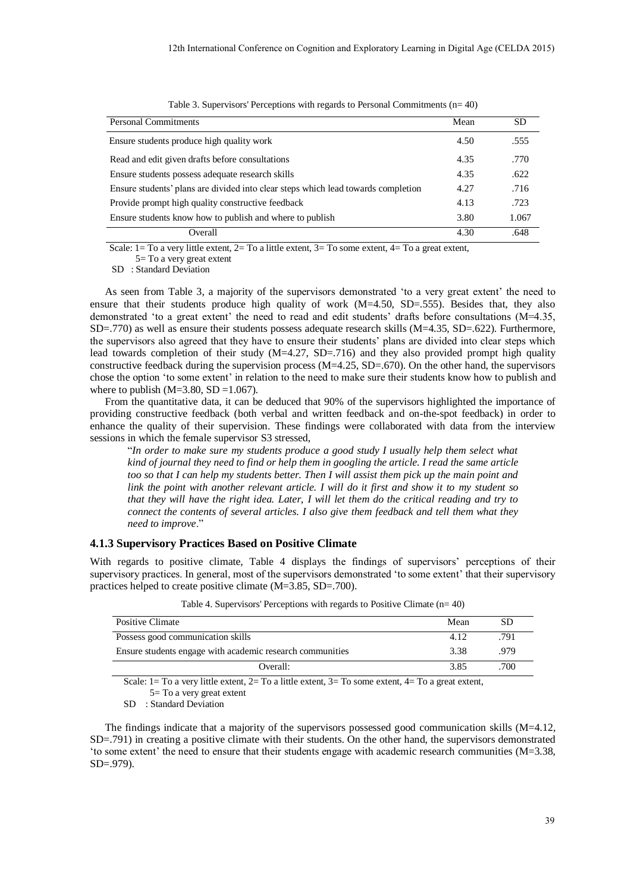| <b>Personal Commitments</b>                                                       | Mean | SD    |
|-----------------------------------------------------------------------------------|------|-------|
| Ensure students produce high quality work                                         | 4.50 | .555  |
| Read and edit given drafts before consultations                                   | 4.35 | .770  |
| Ensure students possess adequate research skills                                  | 4.35 | .622  |
| Ensure students' plans are divided into clear steps which lead towards completion | 4.27 | .716  |
| Provide prompt high quality constructive feedback                                 | 4.13 | .723  |
| Ensure students know how to publish and where to publish                          | 3.80 | 1.067 |
| Overall                                                                           | 4.30 | .648  |

Table 3. Supervisors' Perceptions with regards to Personal Commitments (n= 40)

Scale:  $1=$  To a very little extent,  $2=$  To a little extent,  $3=$  To some extent,  $4=$  To a great extent,

5= To a very great extent

SD : Standard Deviation

As seen from Table 3, a majority of the supervisors demonstrated 'to a very great extent' the need to ensure that their students produce high quality of work (M=4.50, SD=.555). Besides that, they also demonstrated 'to a great extent' the need to read and edit students' drafts before consultations (M=4.35, SD=.770) as well as ensure their students possess adequate research skills (M=4.35, SD=.622). Furthermore, the supervisors also agreed that they have to ensure their students' plans are divided into clear steps which lead towards completion of their study  $(M=4.27, SD=.716)$  and they also provided prompt high quality constructive feedback during the supervision process  $(M=4.25, SD=.670)$ . On the other hand, the supervisors chose the option 'to some extent' in relation to the need to make sure their students know how to publish and where to publish  $(M=3.80, SD=1.067)$ .

From the quantitative data, it can be deduced that 90% of the supervisors highlighted the importance of providing constructive feedback (both verbal and written feedback and on-the-spot feedback) in order to enhance the quality of their supervision. These findings were collaborated with data from the interview sessions in which the female supervisor S3 stressed,

"*In order to make sure my students produce a good study I usually help them select what kind of journal they need to find or help them in googling the article. I read the same article too so that I can help my students better. Then I will assist them pick up the main point and link the point with another relevant article. I will do it first and show it to my student so that they will have the right idea. Later, I will let them do the critical reading and try to connect the contents of several articles. I also give them feedback and tell them what they need to improve*."

## **4.1.3 Supervisory Practices Based on Positive Climate**

With regards to positive climate, Table 4 displays the findings of supervisors' perceptions of their supervisory practices. In general, most of the supervisors demonstrated 'to some extent' that their supervisory practices helped to create positive climate (M=3.85, SD=.700).

| Positive Climate                                                                                         | Mean | SD   |  |
|----------------------------------------------------------------------------------------------------------|------|------|--|
| Possess good communication skills                                                                        | 4.12 | .791 |  |
| Ensure students engage with academic research communities                                                | 3.38 | .979 |  |
| Overall:                                                                                                 | 3.85 | .700 |  |
| Caster 1 The correctivity criticity O. The collection of O. The correct critical of The correct critical |      |      |  |

Table 4. Supervisors' Perceptions with regards to Positive Climate (n= 40)

Scale: 1 = To a very little extent, 2 = To a little extent, 3 = To some extent, 4 = To a great extent, 5= To a very great extent

SD : Standard Deviation

The findings indicate that a majority of the supervisors possessed good communication skills (M=4.12, SD=.791) in creating a positive climate with their students. On the other hand, the supervisors demonstrated 'to some extent' the need to ensure that their students engage with academic research communities (M=3.38, SD=.979).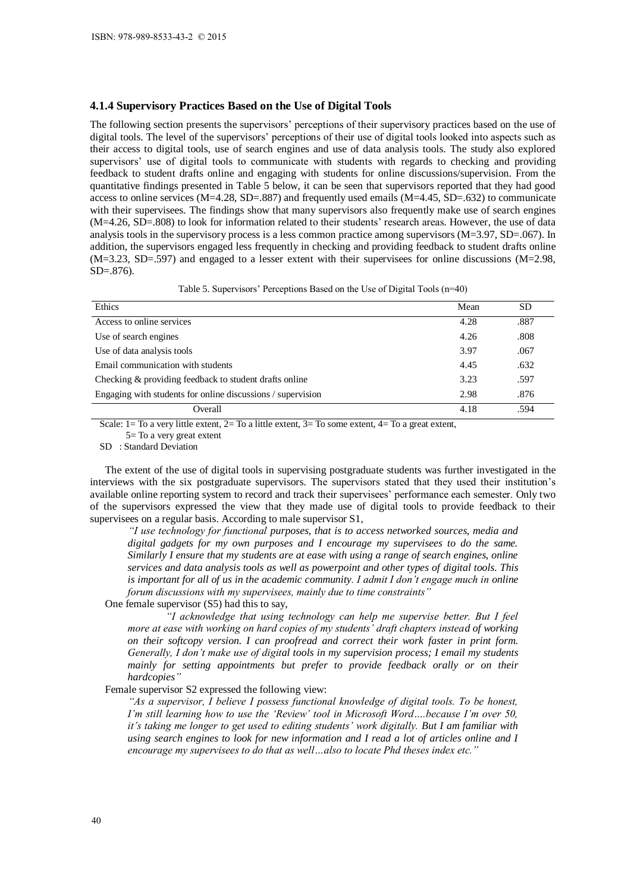## **4.1.4 Supervisory Practices Based on the Use of Digital Tools**

The following section presents the supervisors' perceptions of their supervisory practices based on the use of digital tools. The level of the supervisors' perceptions of their use of digital tools looked into aspects such as their access to digital tools, use of search engines and use of data analysis tools. The study also explored supervisors' use of digital tools to communicate with students with regards to checking and providing feedback to student drafts online and engaging with students for online discussions/supervision. From the quantitative findings presented in Table 5 below, it can be seen that supervisors reported that they had good access to online services (M=4.28, SD=.887) and frequently used emails (M=4.45, SD=.632) to communicate with their supervisees. The findings show that many supervisors also frequently make use of search engines (M=4.26, SD=.808) to look for information related to their students' research areas. However, the use of data analysis tools in the supervisory process is a less common practice among supervisors  $(M=3.97, SD=067)$ . In addition, the supervisors engaged less frequently in checking and providing feedback to student drafts online (M=3.23, SD=.597) and engaged to a lesser extent with their supervisees for online discussions (M=2.98,  $SD = .876$ ). ISBN: 978-989-8533-43-2 © 2015<br>
ISBN: 978-989-8533-43-2 © 2015<br>
The following section presents to<br>
digital tools, The level of the sup-<br>
digital tools, The level of the sup-<br>
supervisors' use of digital tools, use<br>
superv

| Table 5. Supervisors' Perceptions Based on the Use of Digital Tools (n=40) |  |  |
|----------------------------------------------------------------------------|--|--|
|                                                                            |  |  |

| Ethics                                                      | Mean | <b>SD</b> |
|-------------------------------------------------------------|------|-----------|
| Access to online services                                   | 4.28 | .887      |
| Use of search engines                                       | 4.26 | .808      |
| Use of data analysis tools                                  | 3.97 | .067      |
| Email communication with students                           | 4.45 | .632      |
| Checking & providing feedback to student drafts online      | 3.23 | .597      |
| Engaging with students for online discussions / supervision | 2.98 | .876      |
| Overall                                                     | 4.18 | .594      |

Scale:  $1=$  To a very little extent,  $2=$  To a little extent,  $3=$  To some extent,  $4=$  To a great extent,

5= To a very great extent

SD : Standard Deviation

The extent of the use of digital tools in supervising postgraduate students was further investigated in the interviews with the six postgraduate supervisors. The supervisors stated that they used their institution's available online reporting system to record and track their supervisees' performance each semester. Only two of the supervisors expressed the view that they made use of digital tools to provide feedback to their supervisees on a regular basis. According to male supervisor S1,

*"I use technology for functional purposes, that is to access networked sources, media and digital gadgets for my own purposes and I encourage my supervisees to do the same. Similarly I ensure that my students are at ease with using a range of search engines, online services and data analysis tools as well as powerpoint and other types of digital tools. This is important for all of us in the academic community. I admit I don't engage much in online forum discussions with my supervisees, mainly due to time constraints"*

One female supervisor (S5) had this to say,

*"I acknowledge that using technology can help me supervise better. But I feel more at ease with working on hard copies of my students' draft chapters instead of working on their softcopy version. I can proofread and correct their work faster in print form. Generally, I don't make use of digital tools in my supervision process; I email my students mainly for setting appointments but prefer to provide feedback orally or on their hardcopies"*

Female supervisor S2 expressed the following view:

*"As a supervisor, I believe I possess functional knowledge of digital tools. To be honest, I'm still learning how to use the 'Review' tool in Microsoft Word….because I'm over 50, it's taking me longer to get used to editing students' work digitally. But I am familiar with using search engines to look for new information and I read a lot of articles online and I encourage my supervisees to do that as well…also to locate Phd theses index etc."*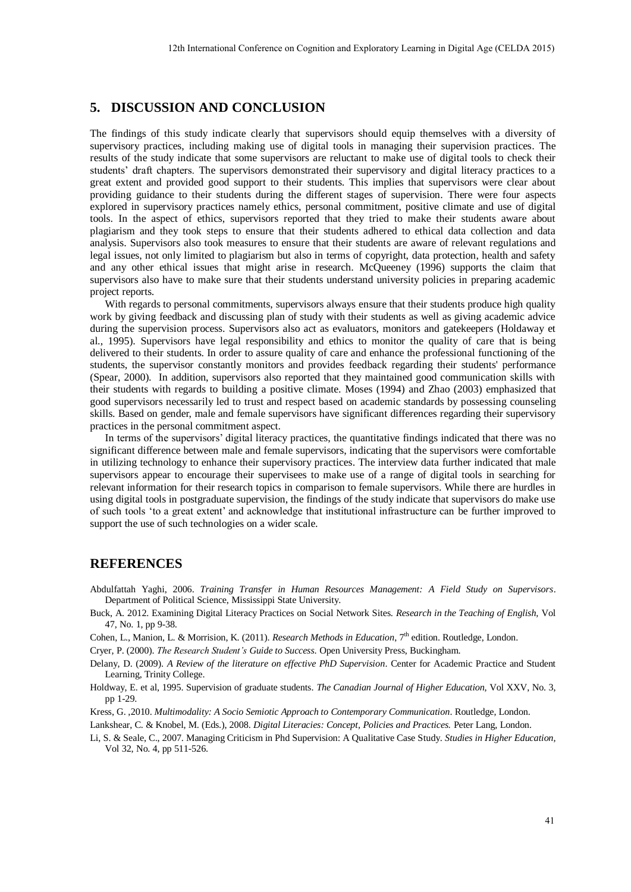# **5. DISCUSSION AND CONCLUSION**

The findings of this study indicate clearly that supervisors should equip themselves with a diversity of supervisory practices, including making use of digital tools in managing their supervision practices. The results of the study indicate that some supervisors are reluctant to make use of digital tools to check their students' draft chapters. The supervisors demonstrated their supervisory and digital literacy practices to a great extent and provided good support to their students. This implies that supervisors were clear about providing guidance to their students during the different stages of supervision. There were four aspects explored in supervisory practices namely ethics, personal commitment, positive climate and use of digital tools. In the aspect of ethics, supervisors reported that they tried to make their students aware about plagiarism and they took steps to ensure that their students adhered to ethical data collection and data analysis. Supervisors also took measures to ensure that their students are aware of relevant regulations and legal issues, not only limited to plagiarism but also in terms of copyright, data protection, health and safety and any other ethical issues that might arise in research. McQueeney (1996) supports the claim that supervisors also have to make sure that their students understand university policies in preparing academic project reports.

With regards to personal commitments, supervisors always ensure that their students produce high quality work by giving feedback and discussing plan of study with their students as well as giving academic advice during the supervision process. Supervisors also act as evaluators, monitors and gatekeepers (Holdaway et al., 1995). Supervisors have legal responsibility and ethics to monitor the quality of care that is being delivered to their students. In order to assure quality of care and enhance the professional functioning of the students, the supervisor constantly monitors and provides feedback regarding their students' performance (Spear, 2000). In addition, supervisors also reported that they maintained good communication skills with their students with regards to building a positive climate. Moses (1994) and Zhao (2003) emphasized that good supervisors necessarily led to trust and respect based on academic standards by possessing counseling skills. Based on gender, male and female supervisors have significant differences regarding their supervisory practices in the personal commitment aspect.

In terms of the supervisors' digital literacy practices, the quantitative findings indicated that there was no significant difference between male and female supervisors, indicating that the supervisors were comfortable in utilizing technology to enhance their supervisory practices. The interview data further indicated that male supervisors appear to encourage their supervisees to make use of a range of digital tools in searching for relevant information for their research topics in comparison to female supervisors. While there are hurdles in using digital tools in postgraduate supervision, the findings of the study indicate that supervisors do make use of such tools 'to a great extent' and acknowledge that institutional infrastructure can be further improved to support the use of such technologies on a wider scale.

## **REFERENCES**

- Abdulfattah Yaghi, 2006. *Training Transfer in Human Resources Management: A Field Study on Supervisors*. Department of Political Science, Mississippi State University.
- Buck, A. 2012. Examining Digital Literacy Practices on Social Network Sites. *Research in the Teaching of English,* Vol 47, No. 1, pp 9-38.
- Cohen, L., Manion, L. & Morrision, K. (2011). *Research Methods in Education*, 7<sup>th</sup> edition. Routledge, London.

Cryer, P. (2000). *The Research Student's Guide to Success*. Open University Press, Buckingham.

Delany, D. (2009). *A Review of the literature on effective PhD Supervision*. Center for Academic Practice and Student Learning, Trinity College.

Holdway, E. et al, 1995. Supervision of graduate students. *The Canadian Journal of Higher Education,* Vol XXV, No. 3, pp 1-29.

Kress, G. ,2010. *Multimodality: A Socio Semiotic Approach to Contemporary Communication*. Routledge, London.

Lankshear, C. & Knobel, M. (Eds.), 2008. *Digital Literacies: Concept, Policies and Practices.* Peter Lang, London.

Li, S. & Seale, C., 2007. Managing Criticism in Phd Supervision: A Qualitative Case Study. *Studies in Higher Education,*  Vol 32, No. 4, pp 511-526.